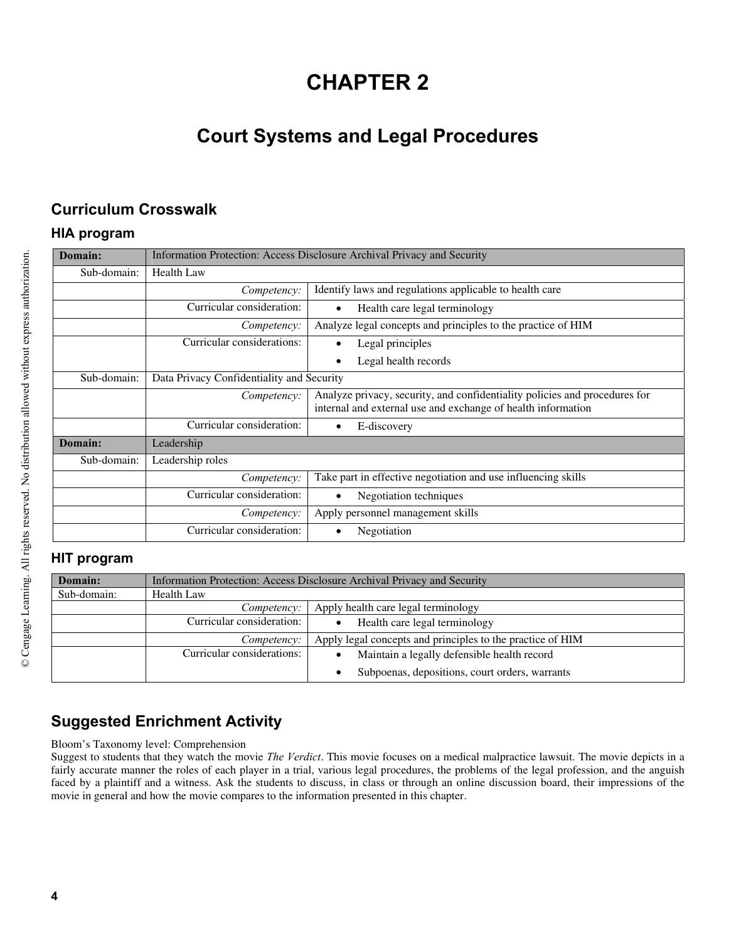# **CHAPTER 2**

## **Court Systems and Legal Procedures**

### **Curriculum Crosswalk**

#### **HIA program**

| Domain:     | Information Protection: Access Disclosure Archival Privacy and Security |                                                                                                                                            |
|-------------|-------------------------------------------------------------------------|--------------------------------------------------------------------------------------------------------------------------------------------|
| Sub-domain: | <b>Health Law</b>                                                       |                                                                                                                                            |
|             | Competency:                                                             | Identify laws and regulations applicable to health care                                                                                    |
|             | Curricular consideration:                                               | Health care legal terminology<br>٠                                                                                                         |
|             | Competency:                                                             | Analyze legal concepts and principles to the practice of HIM                                                                               |
|             | Curricular considerations:                                              | Legal principles                                                                                                                           |
|             |                                                                         | Legal health records                                                                                                                       |
| Sub-domain: | Data Privacy Confidentiality and Security                               |                                                                                                                                            |
|             | Competency:                                                             | Analyze privacy, security, and confidentiality policies and procedures for<br>internal and external use and exchange of health information |
|             | Curricular consideration:                                               | E-discovery                                                                                                                                |
| Domain:     | Leadership                                                              |                                                                                                                                            |
| Sub-domain: | Leadership roles                                                        |                                                                                                                                            |
|             | Competency:                                                             | Take part in effective negotiation and use influencing skills                                                                              |
|             | Curricular consideration:                                               | Negotiation techniques                                                                                                                     |
|             | Competency:                                                             | Apply personnel management skills                                                                                                          |
|             | Curricular consideration:                                               | Negotiation                                                                                                                                |

#### **HIT program**

| Domain:     |                            | Information Protection: Access Disclosure Archival Privacy and Security |
|-------------|----------------------------|-------------------------------------------------------------------------|
| Sub-domain: | <b>Health Law</b>          |                                                                         |
|             | Competency:                | Apply health care legal terminology                                     |
|             | Curricular consideration:  | Health care legal terminology<br>$\bullet$                              |
|             | Competency:                | Apply legal concepts and principles to the practice of HIM              |
|             | Curricular considerations: | Maintain a legally defensible health record                             |
|             |                            | Subpoenas, depositions, court orders, warrants<br>$\bullet$             |

## **Suggested Enrichment Activity**

Bloom's Taxonomy level: Comprehension

Suggest to students that they watch the movie *The Verdict*. This movie focuses on a medical malpractice lawsuit. The movie depicts in a fairly accurate manner the roles of each player in a trial, various legal procedures, the problems of the legal profession, and the anguish faced by a plaintiff and a witness. Ask the students to discuss, in class or through an online discussion board, their impressions of the movie in general and how the movie compares to the information presented in this chapter.